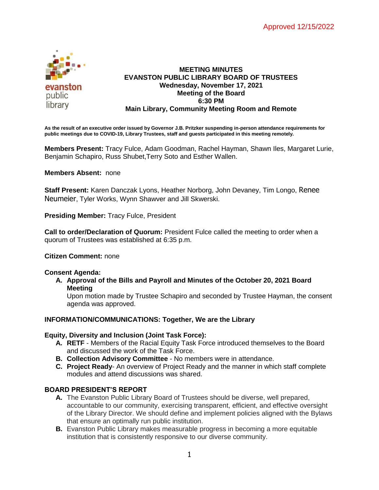

# **MEETING MINUTES EVANSTON PUBLIC LIBRARY BOARD OF TRUSTEES Wednesday, November 17, 2021 Meeting of the Board 6:30 PM Main Library, Community Meeting Room and Remote**

**As the result of an executive order issued by Governor J.B. Pritzker suspending in-person attendance requirements for public meetings due to COVID-19, Library Trustees, staff and guests participated in this meeting remotely.**

**Members Present:** Tracy Fulce, Adam Goodman, Rachel Hayman, Shawn Iles, Margaret Lurie, Benjamin Schapiro, Russ Shubet,Terry Soto and Esther Wallen.

# **Members Absent:** none

**Staff Present:** Karen Danczak Lyons, Heather Norborg, John Devaney, Tim Longo, Renee Neumeier, Tyler Works, Wynn Shawver and Jill Skwerski.

**Presiding Member:** Tracy Fulce, President

**Call to order/Declaration of Quorum:** President Fulce called the meeting to order when a quorum of Trustees was established at 6:35 p.m.

## **Citizen Comment:** none

## **Consent Agenda:**

**A. Approval of the Bills and Payroll and Minutes of the October 20, 2021 Board Meeting**

Upon motion made by Trustee Schapiro and seconded by Trustee Hayman, the consent agenda was approved.

## **INFORMATION/COMMUNICATIONS: Together, We are the Library**

## **Equity, Diversity and Inclusion (Joint Task Force):**

- **A. RETF** Members of the Racial Equity Task Force introduced themselves to the Board and discussed the work of the Task Force.
- **B. Collection Advisory Committee** No members were in attendance.
- **C. Project Ready** An overview of Project Ready and the manner in which staff complete modules and attend discussions was shared.

## **BOARD PRESIDENT'S REPORT**

- **A.** The Evanston Public Library Board of Trustees should be diverse, well prepared, accountable to our community, exercising transparent, efficient, and effective oversight of the Library Director. We should define and implement policies aligned with the Bylaws that ensure an optimally run public institution.
- **B.** Evanston Public Library makes measurable progress in becoming a more equitable institution that is consistently responsive to our diverse community.